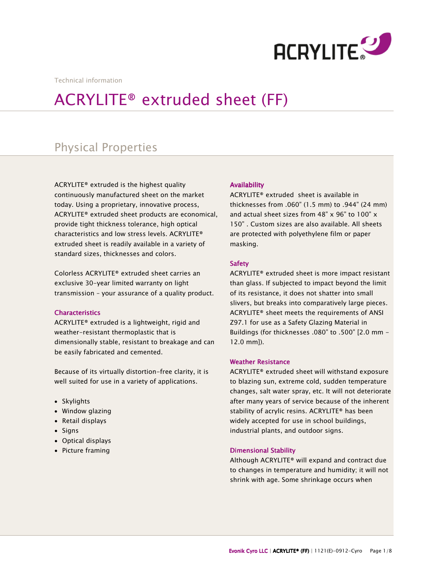

Technical information

# ACRYLITE® extruded sheet (FF)

# Physical Properties

ACRYLITE® extruded is the highest quality continuously manufactured sheet on the market today. Using a proprietary, innovative process, ACRYLITE® extruded sheet products are economical, provide tight thickness tolerance, high optical characteristics and low stress levels. ACRYLITE® extruded sheet is readily available in a variety of standard sizes, thicknesses and colors.

Colorless ACRYLITE® extruded sheet carries an exclusive 30-year limited warranty on light transmission – your assurance of a quality product.

# **Characteristics**

ACRYLITE® extruded is a lightweight, rigid and weather-resistant thermoplastic that is dimensionally stable, resistant to breakage and can be easily fabricated and cemented.

Because of its virtually distortion-free clarity, it is well suited for use in a variety of applications.

- Skylights
- Window glazing
- Retail displays
- Signs
- Optical displays
- Picture framing

# Availability

ACRYLITE® extruded sheet is available in thicknesses from .060" (1.5 mm) to .944" (24 mm) and actual sheet sizes from 48" x 96" to 100" x 150" . Custom sizes are also available. All sheets are protected with polyethylene film or paper masking.

# Safety

ACRYLITE® extruded sheet is more impact resistant than glass. If subjected to impact beyond the limit of its resistance, it does not shatter into small slivers, but breaks into comparatively large pieces. ACRYLITE® sheet meets the requirements of ANSI Z97.1 for use as a Safety Glazing Material in Buildings (for thicknesses .080" to .500" [2.0 mm - 12.0 mm]).

# **Weather Resistance**

ACRYLITE® extruded sheet will withstand exposure to blazing sun, extreme cold, sudden temperature changes, salt water spray, etc. It will not deteriorate after many years of service because of the inherent stability of acrylic resins. ACRYLITE® has been widely accepted for use in school buildings, industrial plants, and outdoor signs.

# **Dimensional Stability**

Although ACRYLITE® will expand and contract due to changes in temperature and humidity; it will not shrink with age. Some shrinkage occurs when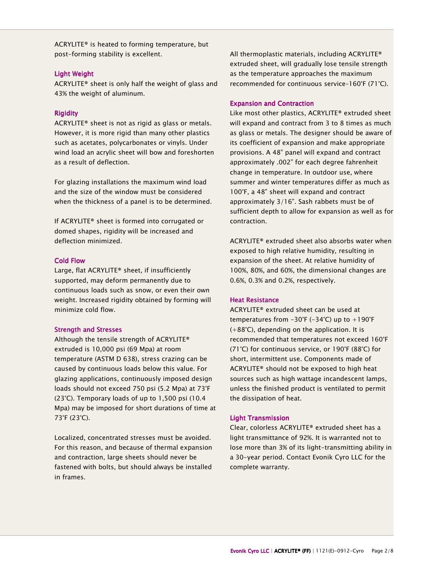ACRYLITE® is heated to forming temperature, but post-forming stability is excellent.

# **Light Weight**

ACRYLITE® sheet is only half the weight of glass and 43% the weight of aluminum.

# **Rigidity**

ACRYLITE® sheet is not as rigid as glass or metals. However, it is more rigid than many other plastics such as acetates, polycarbonates or vinyls. Under wind load an acrylic sheet will bow and foreshorten as a result of deflection.

For glazing installations the maximum wind load and the size of the window must be considered when the thickness of a panel is to be determined.

If ACRYLITE® sheet is formed into corrugated or domed shapes, rigidity will be increased and deflection minimized.

# Cold Flow Cold Flow

Large, flat ACRYLITE® sheet, if insufficiently supported, may deform permanently due to continuous loads such as snow, or even their own weight. Increased rigidity obtained by forming will minimize cold flow.

# **Strength and Stresses**

Although the tensile strength of ACRYLITE® extruded is 10,000 psi (69 Mpa) at room temperature (ASTM D 638), stress crazing can be caused by continuous loads below this value. For glazing applications, continuously imposed design loads should not exceed 750 psi (5.2 Mpa) at 73°F (23°C). Temporary loads of up to 1,500 psi (10.4 Mpa) may be imposed for short durations of time at 73°F (23°C).

Localized, concentrated stresses must be avoided. For this reason, and because of thermal expansion and contraction, large sheets should never be fastened with bolts, but should always be installed in frames.

All thermoplastic materials, including ACRYLITE® extruded sheet, will gradually lose tensile strength as the temperature approaches the maximum recommended for continuous service–160°F (71°C).

# Expansion and Contraction

Like most other plastics, ACRYLITE® extruded sheet will expand and contract from 3 to 8 times as much as glass or metals. The designer should be aware of its coefficient of expansion and make appropriate provisions. A 48" panel will expand and contract approximately .002" for each degree fahrenheit change in temperature. In outdoor use, where summer and winter temperatures differ as much as 100°F, a 48" sheet will expand and contract approximately 3/16". Sash rabbets must be of sufficient depth to allow for expansion as well as for contraction.

ACRYLITE® extruded sheet also absorbs water when exposed to high relative humidity, resulting in expansion of the sheet. At relative humidity of 100%, 80%, and 60%, the dimensional changes are 0.6%, 0.3% and 0.2%, respectively.

# Heat Resistance

ACRYLITE® extruded sheet can be used at temperatures from  $-30^{\circ}F$  ( $-34^{\circ}C$ ) up to  $+190^{\circ}F$ (+88°C), depending on the application. It is recommended that temperatures not exceed 160°F (71°C) for continuous service, or 190°F (88°C) for short, intermittent use. Components made of ACRYLITE® should not be exposed to high heat sources such as high wattage incandescent lamps, unless the finished product is ventilated to permit the dissipation of heat.

# **Light Transmission**

Clear, colorless ACRYLITE® extruded sheet has a light transmittance of 92%. It is warranted not to lose more than 3% of its light-transmitting ability in a 30-year period. Contact Evonik Cyro LLC for the complete warranty.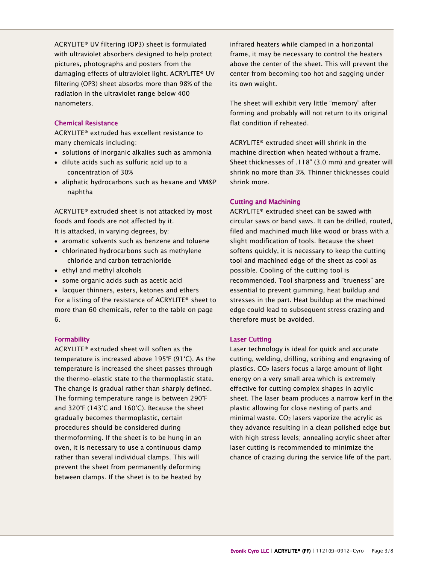ACRYLITE® UV filtering (OP3) sheet is formulated with ultraviolet absorbers designed to help protect pictures, photographs and posters from the damaging effects of ultraviolet light. ACRYLITE® UV filtering (OP3) sheet absorbs more than 98% of the radiation in the ultraviolet range below 400 nanometers.

# **Chemical Resistance**

ACRYLITE® extruded has excellent resistance to many chemicals including:

- solutions of inorganic alkalies such as ammonia
- dilute acids such as sulfuric acid up to a concentration of 30%
- aliphatic hydrocarbons such as hexane and VM&P naphtha

ACRYLITE® extruded sheet is not attacked by most foods and foods are not affected by it. It is attacked, in varying degrees, by:

- aromatic solvents such as benzene and toluene
- chlorinated hydrocarbons such as methylene chloride and carbon tetrachloride
- ethyl and methyl alcohols
- some organic acids such as acetic acid

• lacquer thinners, esters, ketones and ethers For a listing of the resistance of ACRYLITE® sheet to more than 60 chemicals, refer to the table on page 6.

# **Formability**

ACRYLITE® extruded sheet will soften as the temperature is increased above 195°F (91°C). As the temperature is increased the sheet passes through the thermo-elastic state to the thermoplastic state. The change is gradual rather than sharply defined. The forming temperature range is between 290°F and 320°F (143°C and 160°C). Because the sheet gradually becomes thermoplastic, certain procedures should be considered during thermoforming. If the sheet is to be hung in an oven, it is necessary to use a continuous clamp rather than several individual clamps. This will prevent the sheet from permanently deforming between clamps. If the sheet is to be heated by

infrared heaters while clamped in a horizontal frame, it may be necessary to control the heaters above the center of the sheet. This will prevent the center from becoming too hot and sagging under its own weight.

The sheet will exhibit very little "memory" after forming and probably will not return to its original flat condition if reheated.

ACRYLITE® extruded sheet will shrink in the machine direction when heated without a frame. Sheet thicknesses of .118" (3.0 mm) and greater will shrink no more than 3%. Thinner thicknesses could shrink more.

# **Cutting and Machining**

ACRYLITE® extruded sheet can be sawed with circular saws or band saws. It can be drilled, routed, filed and machined much like wood or brass with a slight modification of tools. Because the sheet softens quickly, it is necessary to keep the cutting tool and machined edge of the sheet as cool as possible. Cooling of the cutting tool is recommended. Tool sharpness and "trueness" are essential to prevent gumming, heat buildup and stresses in the part. Heat buildup at the machined edge could lead to subsequent stress crazing and therefore must be avoided.

# **Laser Cutting**

Laser technology is ideal for quick and accurate cutting, welding, drilling, scribing and engraving of plastics. CO2 lasers focus a large amount of light energy on a very small area which is extremely effective for cutting complex shapes in acrylic sheet. The laser beam produces a narrow kerf in the plastic allowing for close nesting of parts and minimal waste.  $CO<sub>2</sub>$  lasers vaporize the acrylic as they advance resulting in a clean polished edge but with high stress levels; annealing acrylic sheet after laser cutting is recommended to minimize the chance of crazing during the service life of the part.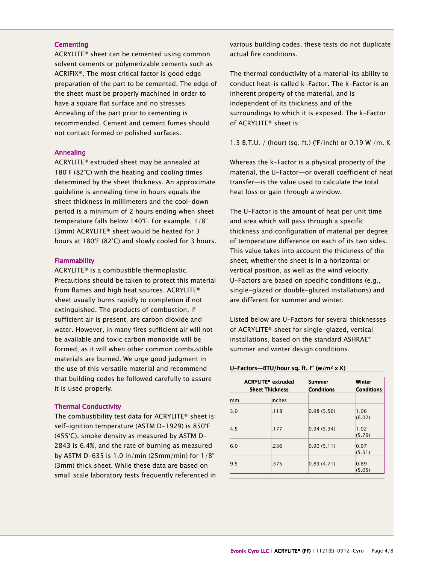#### **Cementing**

ACRYLITE® sheet can be cemented using common solvent cements or polymerizable cements such as ACRIFIX®. The most critical factor is good edge preparation of the part to be cemented. The edge of the sheet must be properly machined in order to have a square flat surface and no stresses. Annealing of the part prior to cementing is recommended. Cement and cement fumes should not contact formed or polished surfaces.

#### Annealing Annealing

ACRYLITE® extruded sheet may be annealed at 180°F (82°C) with the heating and cooling times determined by the sheet thickness. An approximate guideline is annealing time in hours equals the sheet thickness in millimeters and the cool-down period is a minimum of 2 hours ending when sheet temperature falls below 140°F. For example, 1/8" (3mm) ACRYLITE® sheet would be heated for 3 hours at 180°F (82°C) and slowly cooled for 3 hours.

#### **Flammability**

ACRYLITE® is a combustible thermoplastic. Precautions should be taken to protect this material from flames and high heat sources. ACRYLITE® sheet usually burns rapidly to completion if not extinguished. The products of combustion, if sufficient air is present, are carbon dioxide and water. However, in many fires sufficient air will not be available and toxic carbon monoxide will be formed, as it will when other common combustible materials are burned. We urge good judgment in the use of this versatile material and recommend that building codes be followed carefully to assure it is used properly.

#### **Thermal Conductivity**

The combustibility test data for ACRYLITE® sheet is: self-ignition temperature (ASTM D-1929) is 850°F (455°C), smoke density as measured by ASTM D-2843 is 6.4%, and the rate of burning as measured by ASTM D-635 is 1.0 in/min (25mm/min) for 1/8" (3mm) thick sheet. While these data are based on small scale laboratory tests frequently referenced in various building codes, these tests do not duplicate actual fire conditions.

The thermal conductivity of a material–its ability to conduct heat–is called k-Factor. The k-Factor is an inherent property of the material, and is independent of its thickness and of the surroundings to which it is exposed. The k-Factor of ACRYLITE® sheet is:

1.3 B.T.U. / (hour) (sq. ft.) (°F/inch) or 0.19 W /m. K

Whereas the k-Factor is a physical property of the material, the U-Factor—or overall coefficient of heat transfer—is the value used to calculate the total heat loss or gain through a window.

The U-Factor is the amount of heat per unit time and area which will pass through a specific thickness and configuration of material per degree of temperature difference on each of its two sides. This value takes into account the thickness of the sheet, whether the sheet is in a horizontal or vertical position, as well as the wind velocity. U-Factors are based on specific conditions (e.g., single-glazed or double-glazed installations) and are different for summer and winter.

Listed below are U-Factors for several thicknesses of ACRYLITE® sheet for single-glazed, vertical installations, based on the standard ASHRAE\* summer and winter design conditions.

#### U-Factors—BTU/hour sq. ft. F° (w/m<sup>2</sup> x K)

|     | <b>ACRYLITE®</b> extruded<br><b>Sheet Thickness</b> |        | <b>Summer</b><br><b>Conditions</b> | Winter<br><b>Conditions</b> |  |
|-----|-----------------------------------------------------|--------|------------------------------------|-----------------------------|--|
| mm  |                                                     | inches |                                    |                             |  |
| 3.0 |                                                     | .118   | 0.98(5.56)                         | 1.06<br>(6.02)              |  |
| 4.5 |                                                     | .177   | 0.94(5.34)                         | 1.02<br>(5.79)              |  |
| 6.0 |                                                     | .236   | 0.90(5.11)                         | 0.97<br>(5.51)              |  |
| 9.5 |                                                     | .375   | 0.83(4.71)                         | 0.89<br>(5.05)              |  |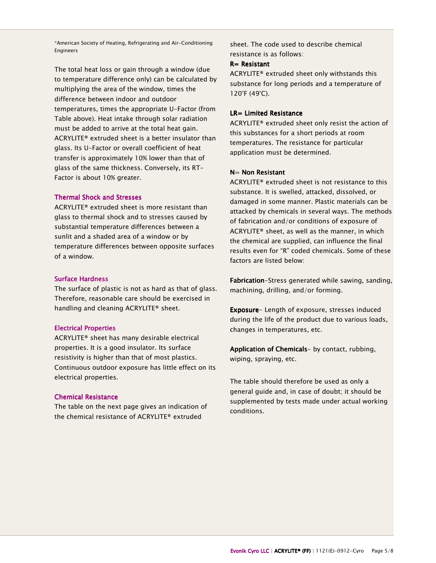\*American Society of Heating, Refrigerating and Air-Conditioning Engineers

The total heat loss or gain through a window (due to temperature difference only) can be calculated by multiplying the area of the window, times the difference between indoor and outdoor temperatures, times the appropriate U-Factor (from Table above). Heat intake through solar radiation must be added to arrive at the total heat gain. ACRYLITE® extruded sheet is a better insulator than glass. Its U-Factor or overall coefficient of heat transfer is approximately 10% lower than that of glass of the same thickness. Conversely, its RT-Factor is about 10% greater.

# **Thermal Shock and Stresses**

ACRYLITE® extruded sheet is more resistant than glass to thermal shock and to stresses caused by substantial temperature differences between a sunlit and a shaded area of a window or by temperature differences between opposite surfaces of a window.

#### **Surface Hardness**

The surface of plastic is not as hard as that of glass. Therefore, reasonable care should be exercised in handling and cleaning ACRYLITE® sheet.

#### **Electrical Properties**

ACRYLITE® sheet has many desirable electrical properties. It is a good insulator. Its surface resistivity is higher than that of most plastics. Continuous outdoor exposure has little effect on its electrical properties.

#### **Chemical Resistance**

The table on the next page gives an indication of the chemical resistance of ACRYLITE® extruded

sheet. The code used to describe chemical resistance is as follows:

# R= Resistant

ACRYLITE® extruded sheet only withstands this substance for long periods and a temperature of 120°F (49°C).

# $LR =$  Limited Resistance

ACRYLITE® extruded sheet only resist the action of this substances for a short periods at room temperatures. The resistance for particular application must be determined.

# $N=$  Non Resistant

ACRYLITE® extruded sheet is not resistance to this substance. It is swelled, attacked, dissolved, or damaged in some manner. Plastic materials can be attacked by chemicals in several ways. The methods of fabrication and/or conditions of exposure of ACRYLITE® sheet, as well as the manner, in which the chemical are supplied, can influence the final results even for "R" coded chemicals. Some of these factors are listed below:

Fabrication-Stress generated while sawing, sanding, machining, drilling, and/or forming.

Exposure- Length of exposure, stresses induced during the life of the product due to various loads, changes in temperatures, etc.

Application of Chemicals- by contact, rubbing, wiping, spraying, etc.

The table should therefore be used as only a general guide and, in case of doubt; it should be supplemented by tests made under actual working conditions.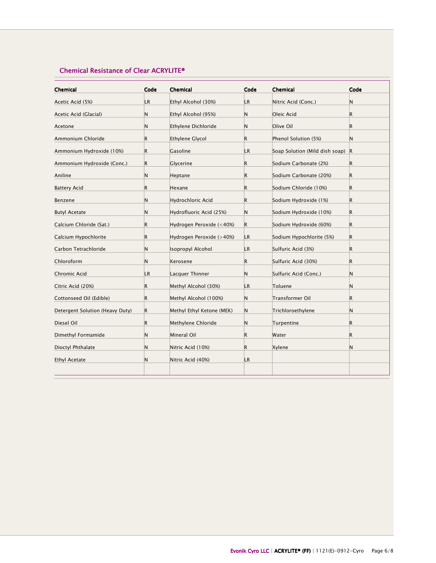# Chemical Resistance of Clear ACRYLITE®

| Chemical                        | Code         | Chemical                  | Code      | Chemical                       | Code         |
|---------------------------------|--------------|---------------------------|-----------|--------------------------------|--------------|
| Acetic Acid (5%)                | LR.          | Ethyl Alcohol (30%)       | LR.       | Nitric Acid (Conc.)            | N            |
| Acetic Acid (Glacial)           | N            | Ethyl Alcohol (95%)       | N         | Oleic Acid                     | R            |
| Acetone                         | N            | Ethylene Dichloride       | N         | Olive Oil                      | $\mathsf{R}$ |
| Ammonium Chloride               | R            | Ethylene Glycol           | R         | Phenol Solution (5%)           | N            |
| Ammonium Hydroxide (10%)        | $\mathsf{R}$ | Gasoline                  | LR.       | Soap Solution (Mild dish soap) | $\mathsf{R}$ |
| Ammonium Hydroxide (Conc.)      | $\mathsf R$  | Glycerine                 | R.        | Sodium Carbonate (2%)          | R            |
| Aniline                         | N            | Heptane                   | R.        | Sodium Carbonate (20%)         | $\mathsf R$  |
| <b>Battery Acid</b>             | R            | Hexane                    | R.        | Sodium Chloride (10%)          | R            |
| Benzene                         | N            | Hydrochloric Acid         | R         | Sodium Hydroxide (1%)          | $\mathsf{R}$ |
| <b>Butyl Acetate</b>            | N            | Hydrofluoric Acid (25%)   | N         | Sodium Hydroxide (10%)         | R            |
| Calcium Chloride (Sat.)         | R            | Hydrogen Peroxide (<40%)  | R.        | Sodium Hydroxide (60%)         | $\mathsf R$  |
| Calcium Hypochlorite            | R            | Hydrogen Peroxide (>40%)  | LR.       | Sodium Hypochlorite (5%)       | $\mathsf{R}$ |
| Carbon Tetrachloride            | N            | <b>Isopropyl Alcohol</b>  | <b>LR</b> | Sulfuric Acid (3%)             | R.           |
| Chloroform                      | N            | Kerosene                  | R.        | Sulfuric Acid (30%)            | $\mathsf R$  |
| Chromic Acid                    | LR.          | Lacquer Thinner           | N         | Sulfuric Acid (Conc.)          | N            |
| Citric Acid (20%)               | R            | Methyl Alcohol (30%)      | LR.       | Toluene                        | N            |
| Cottonseed Oil (Edible)         | R            | Methyl Alcohol (100%)     | N         | Transformer Oil                | $\mathsf R$  |
| Detergent Solution (Heavy Duty) | $\mathsf R$  | Methyl Ethyl Ketone (MEK) | N         | Trichloroethylene              | N            |
| Diesel Oil                      | R            | Methylene Chloride        | N         | Turpentine                     | $\mathsf R$  |
| Dimethyl Formamide              | N            | Mineral Oil               | R         | Water                          | $\mathsf R$  |
| Dioctyl Phthalate               | N            | Nitric Acid (10%)         | R.        | Xylene                         | N            |
| <b>Ethyl Acetate</b>            | N            | Nitric Acid (40%)         | LR.       |                                |              |
|                                 |              |                           |           |                                |              |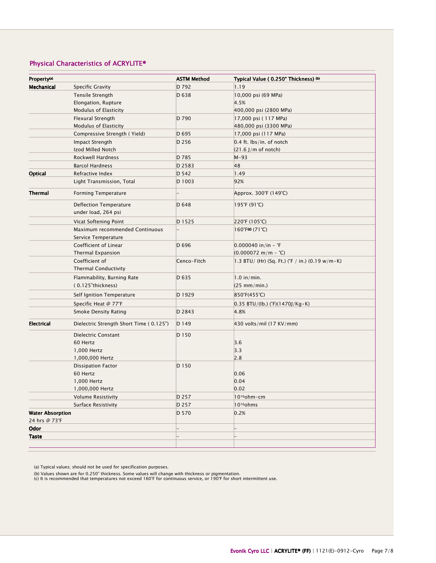# Physical Characteristics of ACRYLITE®

| Property <sup>(a)</sup> |                                         | <b>ASTM Method</b> | Typical Value (0.250" Thickness) (b)                    |  |
|-------------------------|-----------------------------------------|--------------------|---------------------------------------------------------|--|
| Mechanical              | <b>Specific Gravity</b>                 | D 792              | 1.19                                                    |  |
|                         | <b>Tensile Strength</b>                 | D 638              | 10,000 psi (69 MPa)                                     |  |
|                         | Elongation, Rupture                     |                    | 4.5%                                                    |  |
|                         | Modulus of Elasticity                   |                    | 400,000 psi (2800 MPa)                                  |  |
|                         | <b>Flexural Strength</b>                | D 790              | 17,000 psi (117 MPa)                                    |  |
|                         | Modulus of Elasticity                   |                    | 480,000 psi (3300 MPa)                                  |  |
|                         | Compressive Strength (Yield)            | D 695              | 17,000 psi (117 MPa)                                    |  |
|                         | Impact Strength                         | D 256              | $0.4$ ft. lbs/in. of notch                              |  |
|                         | Izod Milled Notch                       |                    | $(21.6$ J/m of notch)                                   |  |
|                         | Rockwell Hardness                       | D 785              | $M-93$                                                  |  |
|                         | <b>Barcol Hardness</b>                  | D 2583             | 48                                                      |  |
| Optical                 | Refractive Index                        | D 542              | 1.49                                                    |  |
|                         | Light Transmission, Total               | D 1003             | 92%                                                     |  |
| <b>Thermal</b>          | <b>Forming Temperature</b>              |                    | Approx. 300°F (149°C)                                   |  |
|                         | Deflection Temperature                  | D 648              | 195°F (91°C)                                            |  |
|                         | under load, 264 psi                     |                    |                                                         |  |
|                         | Vicat Softening Point                   | D 1525             | 220°F (105°C)                                           |  |
|                         | Maximum recommended Continuous          |                    | $160^{\circ}$ F(c) $(71^{\circ}C)$                      |  |
|                         | Service Temperature                     |                    |                                                         |  |
|                         | Coefficient of Linear                   | D 696              | $0.000040$ in/in - $\degree$ F                          |  |
|                         | Thermal Expansion                       |                    | $(0.000072 \text{ m/m} - {}^{\circ}\text{C})$           |  |
|                         | Coefficient of                          | Cenco-Fitch        | 1.3 BTU/ (Hr) (Sq. Ft.) (°F / in.) (0.19 w/m $\cdot$ K) |  |
|                         | <b>Thermal Conductivity</b>             |                    |                                                         |  |
|                         | Flammability, Burning Rate              | D 635              | $1.0$ in/min.                                           |  |
|                         | (0.125"thickness)                       |                    | $(25$ mm/min.)                                          |  |
|                         | Self Ignition Temperature               | D 1929             | 850°F(455°C)                                            |  |
|                         | Specific Heat @ 77°F                    |                    | $0.35$ BTU/(Ib.) (°F)(1470J/Kg $\cdot$ K)               |  |
|                         | Smoke Density Rating                    | D 2843             | 4.8%                                                    |  |
| <b>Electrical</b>       | Dielectric Strength Short Time (0.125") | D149               | 430 volts/mil (17 KV/mm)                                |  |
|                         | Dielectric Constant                     | D 150              |                                                         |  |
|                         | 60 Hertz                                |                    | 3.6                                                     |  |
|                         | 1,000 Hertz                             |                    | 3.3                                                     |  |
|                         | 1,000,000 Hertz                         |                    | 2.8                                                     |  |
|                         | <b>Dissipation Factor</b>               | D 150              |                                                         |  |
|                         | 60 Hertz                                |                    | 0.06                                                    |  |
|                         | 1,000 Hertz                             |                    | 0.04                                                    |  |
|                         | 1,000,000 Hertz                         |                    | 0.02                                                    |  |
|                         | <b>Volume Resistivity</b>               | D 257              | 10 <sup>16</sup> ohm-cm                                 |  |
|                         | <b>Surface Resistivity</b>              | D 257              | 10 <sup>16</sup> ohms                                   |  |
| <b>Water Absorption</b> |                                         | D 570              | 0.2%                                                    |  |
| 24 hrs @ 73°F           |                                         |                    |                                                         |  |
| <b>Odor</b>             |                                         |                    |                                                         |  |
| <b>Taste</b>            |                                         |                    |                                                         |  |
|                         |                                         |                    |                                                         |  |

(a) Typical values; should not be used for specification purposes.

(b) Values shown are for 0.250" thickness. Some values will change with thickness or pigmentation. (c) It is recommended that temperatures not exceed 160°F for continuous service, or 190°F for short intermittent use.